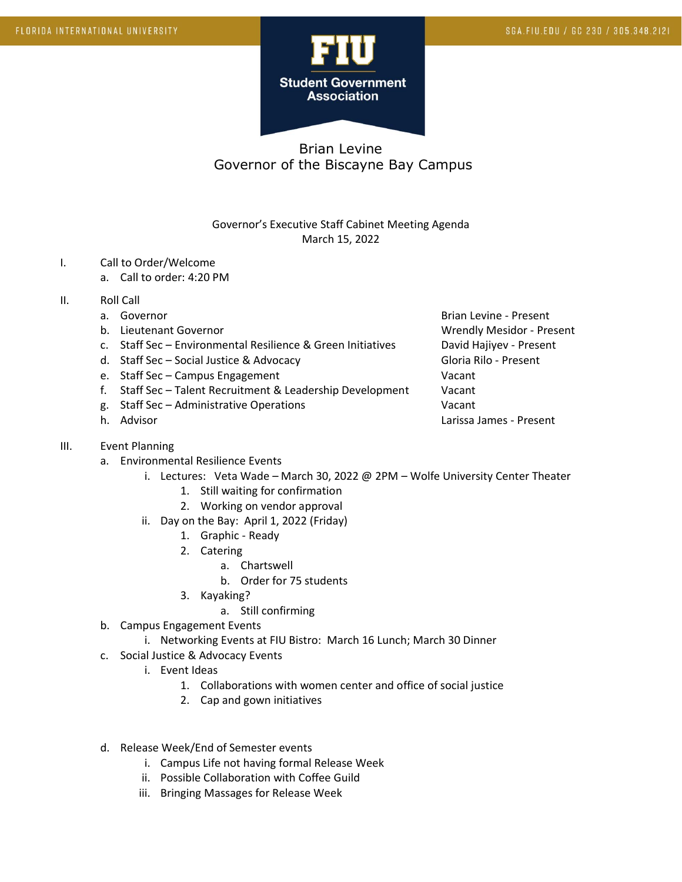

# Brian Levine Governor of the Biscayne Bay Campus

### Governor's Executive Staff Cabinet Meeting Agenda March 15, 2022

#### I. Call to Order/Welcome

- a. Call to order: 4:20 PM
- II. Roll Call
	-
	-
	- c. Staff Sec Environmental Resilience & Green Initiatives David Hajiyev Present
	- d. Staff Sec Social Justice & Advocacy Contract Contract Gloria Rilo Present
	- e. Staff Sec Campus Engagement Vacant
	- f. Staff Sec Talent Recruitment & Leadership Development Vacant
	- g. Staff Sec Administrative Operations Vacant
	-

### III. Event Planning

- a. Environmental Resilience Events
	- i. Lectures: Veta Wade March 30, 2022 @ 2PM Wolfe University Center Theater
		- 1. Still waiting for confirmation
		- 2. Working on vendor approval
	- ii. Day on the Bay: April 1, 2022 (Friday)
		- 1. Graphic Ready
		- 2. Catering
			- a. Chartswell
			- b. Order for 75 students
		- 3. Kayaking?

### a. Still confirming

- b. Campus Engagement Events
	- i. Networking Events at FIU Bistro: March 16 Lunch; March 30 Dinner
- c. Social Justice & Advocacy Events
	- i. Event Ideas
		- 1. Collaborations with women center and office of social justice
		- 2. Cap and gown initiatives
- d. Release Week/End of Semester events
	- i. Campus Life not having formal Release Week
	- ii. Possible Collaboration with Coffee Guild
	- iii. Bringing Massages for Release Week

a. Governor **Brian Levine - Present** Brian Levine - Present b. Lieutenant Governor Christianus and Wrendly Mesidor - Present h. Advisor Larissa James - Present